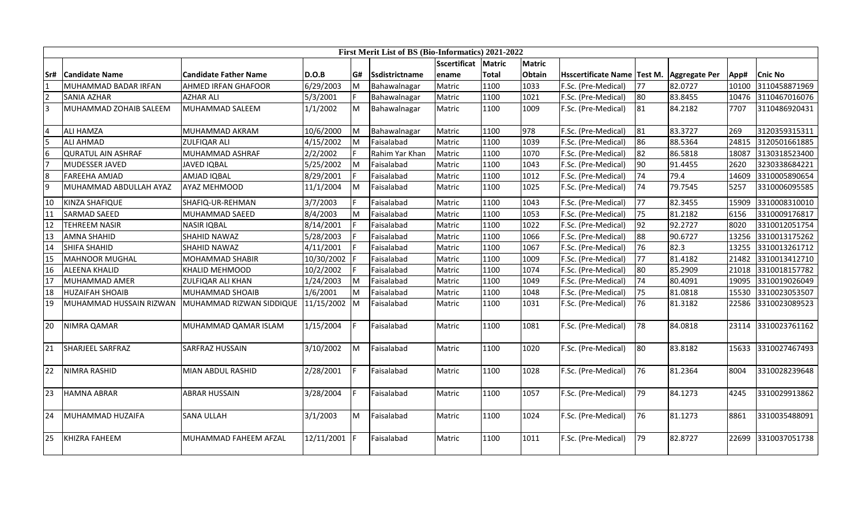|                |                           |                              |            |    | First Merit List of BS (Bio-Informatics) 2021-2022 |                     |        |               |                            |                 |                      |       |                |
|----------------|---------------------------|------------------------------|------------|----|----------------------------------------------------|---------------------|--------|---------------|----------------------------|-----------------|----------------------|-------|----------------|
|                |                           |                              |            |    |                                                    | <b>Sscertificat</b> | Matric | <b>Matric</b> |                            |                 |                      |       |                |
| lSr#           | <b>ICandidate Name</b>    | <b>Candidate Father Name</b> | D.O.B      | G# | Ssdistrictname                                     | ename               | Total  | Obtain        | <b>Hsscertificate Name</b> | Test M.         | <b>Aggregate Per</b> | App#  | <b>Cnic No</b> |
|                | MUHAMMAD BADAR IRFAN      | <b>AHMED IRFAN GHAFOOR</b>   | 6/29/2003  | M  | Bahawalnagar                                       | Matric              | 1100   | 1033          | F.Sc. (Pre-Medical)        | 77              | 82.0727              | 10100 | 3110458871969  |
| $\overline{2}$ | <b>SANIA AZHAR</b>        | <b>AZHAR ALI</b>             | 5/3/2001   |    | Bahawalnagar                                       | Matric              | 1100   | 1021          | F.Sc. (Pre-Medical)        | 80              | 83.8455              | 10476 | 3110467016076  |
| $\overline{3}$ | MUHAMMAD ZOHAIB SALEEM    | MUHAMMAD SALEEM              | 1/1/2002   | M  | Bahawalnagar                                       | Matric              | 1100   | 1009          | F.Sc. (Pre-Medical)        | 81              | 84.2182              | 7707  | 3110486920431  |
|                |                           |                              |            |    |                                                    |                     |        |               |                            |                 |                      |       |                |
| $\overline{4}$ | <b>ALI HAMZA</b>          | MUHAMMAD AKRAM               | 10/6/2000  | M  | Bahawalnagar                                       | Matric              | 1100   | 978           | F.Sc. (Pre-Medical)        | 81              | 83.3727              | 269   | 3120359315311  |
| l5             | <b>ALI AHMAD</b>          | <b>ZULFIQAR ALI</b>          | 4/15/2002  | M  | Faisalabad                                         | Matric              | 1100   | 1039          | F.Sc. (Pre-Medical)        | 86              | 88.5364              | 24815 | 3120501661885  |
| 6              | <b>QURATUL AIN ASHRAF</b> | MUHAMMAD ASHRAF              | 2/2/2002   |    | Rahim Yar Khan                                     | Matric              | 1100   | 1070          | F.Sc. (Pre-Medical)        | 82              | 86.5818              | 18087 | 3130318523400  |
| 7              | <b>I</b> MUDESSER JAVED   | JAVED IQBAL                  | 5/25/2002  | M  | Faisalabad                                         | Matric              | 1100   | 1043          | F.Sc. (Pre-Medical)        | 90              | 91.4455              | 2620  | 3230338684221  |
| 8              | <b>FAREEHA AMJAD</b>      | AMJAD IQBAL                  | 8/29/2001  |    | Faisalabad                                         | Matric              | 1100   | 1012          | F.Sc. (Pre-Medical)        | 74              | 79.4                 | 14609 | 3310005890654  |
| 9              | MUHAMMAD ABDULLAH AYAZ    | <b>AYAZ MEHMOOD</b>          | 11/1/2004  | M  | Faisalabad                                         | Matric              | 1100   | 1025          | F.Sc. (Pre-Medical)        | 174             | 79.7545              | 5257  | 3310006095585  |
| 10             | KINZA SHAFIQUE            | SHAFIQ-UR-REHMAN             | 3/7/2003   |    | Faisalabad                                         | Matric              | 1100   | 1043          | F.Sc. (Pre-Medical)        | 77              | 82.3455              | 15909 | 3310008310010  |
| 11             | <b>SARMAD SAEED</b>       | MUHAMMAD SAEED               | 8/4/2003   | M  | Faisalabad                                         | Matric              | 1100   | 1053          | F.Sc. (Pre-Medical)        | 75              | 81.2182              | 6156  | 3310009176817  |
| 12             | <b>TEHREEM NASIR</b>      | <b>NASIR IQBAL</b>           | 8/14/2001  |    | Faisalabad                                         | Matric              | 1100   | 1022          | F.Sc. (Pre-Medical)        | 92              | 92.2727              | 8020  | 3310012051754  |
| 13             | <b>AMNA SHAHID</b>        | SHAHID NAWAZ                 | 5/28/2003  |    | Faisalabad                                         | Matric              | 1100   | 1066          | F.Sc. (Pre-Medical)        | 88              | 90.6727              | 13256 | 3310013175262  |
| 14             | <b>SHIFA SHAHID</b>       | <b>SHAHID NAWAZ</b>          | 4/11/2001  |    | Faisalabad                                         | Matric              | 1100   | 1067          | F.Sc. (Pre-Medical)        | 76              | 82.3                 | 13255 | 3310013261712  |
| 15             | <b>MAHNOOR MUGHAL</b>     | <b>MOHAMMAD SHABIR</b>       | 10/30/2002 |    | Faisalabad                                         | Matric              | 1100   | 1009          | F.Sc. (Pre-Medical)        | 77              | 81.4182              | 21482 | 3310013412710  |
| 16             | <b>ALEENA KHALID</b>      | <b>KHALID MEHMOOD</b>        | 10/2/2002  |    | Faisalabad                                         | Matric              | 1100   | 1074          | F.Sc. (Pre-Medical)        | 80              | 85.2909              | 21018 | 3310018157782  |
| 17             | MUHAMMAD AMER             | <b>ZULFIQAR ALI KHAN</b>     | 1/24/2003  | M  | Faisalabad                                         | Matric              | 1100   | 1049          | F.Sc. (Pre-Medical)        | $\overline{74}$ | 80.4091              | 19095 | 3310019026049  |
| 18             | <b>HUZAIFAH SHOAIB</b>    | MUHAMMAD SHOAIB              | 1/6/2001   | M  | Faisalabad                                         | Matric              | 1100   | 1048          | F.Sc. (Pre-Medical)        | 75              | 81.0818              | 15530 | 3310023053507  |
| 19             | MUHAMMAD HUSSAIN RIZWAN   | MUHAMMAD RIZWAN SIDDIQUE     | 11/15/2002 | M  | Faisalabad                                         | Matric              | 1100   | 1031          | F.Sc. (Pre-Medical)        | 76              | 81.3182              | 22586 | 3310023089523  |
| 20             | NIMRA QAMAR               | MUHAMMAD QAMAR ISLAM         | 1/15/2004  |    | Faisalabad                                         | Matric              | 1100   | 1081          | F.Sc. (Pre-Medical)        | 78              | 84.0818              | 23114 | 3310023761162  |
| 21             | <b>SHARJEEL SARFRAZ</b>   | <b>SARFRAZ HUSSAIN</b>       | 3/10/2002  | M  | Faisalabad                                         | Matric              | 1100   | 1020          | F.Sc. (Pre-Medical)        | 80              | 83.8182              | 15633 | 3310027467493  |
| 22             | NIMRA RASHID              | MIAN ABDUL RASHID            | 2/28/2001  |    | Faisalabad                                         | Matric              | 1100   | 1028          | F.Sc. (Pre-Medical)        | 76              | 81.2364              | 8004  | 3310028239648  |
| 23             | <b>HAMNA ABRAR</b>        | <b>ABRAR HUSSAIN</b>         | 3/28/2004  |    | Faisalabad                                         | Matric              | 1100   | 1057          | F.Sc. (Pre-Medical)        | 79              | 84.1273              | 4245  | 3310029913862  |
| 24             | MUHAMMAD HUZAIFA          | <b>SANA ULLAH</b>            | 3/1/2003   | M  | Faisalabad                                         | Matric              | 1100   | 1024          | F.Sc. (Pre-Medical)        | 76              | 81.1273              | 8861  | 3310035488091  |
| 25             | KHIZRA FAHEEM             | MUHAMMAD FAHEEM AFZAL        | 12/11/2001 |    | Faisalabad                                         | Matric              | 1100   | 1011          | F.Sc. (Pre-Medical)        | 79              | 82.8727              | 22699 | 3310037051738  |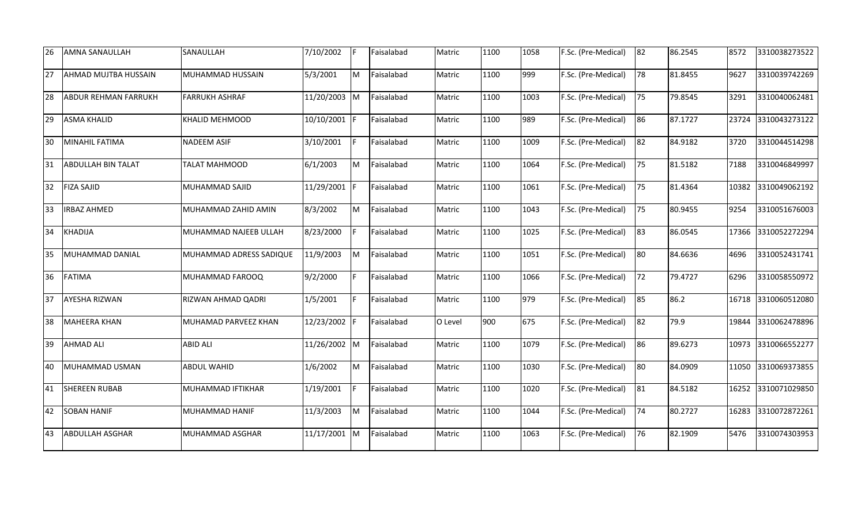| 26 | <b>AMNA SANAULLAH</b>       | SANAULLAH               | 7/10/2002    |     | Faisalabad | Matric  | 1100 | 1058 | F.Sc. (Pre-Medical) | 82 | 86.2545 | 8572  | 3310038273522 |
|----|-----------------------------|-------------------------|--------------|-----|------------|---------|------|------|---------------------|----|---------|-------|---------------|
| 27 | <b>AHMAD MUJTBA HUSSAIN</b> | MUHAMMAD HUSSAIN        | 5/3/2001     | M   | Faisalabad | Matric  | 1100 | 999  | F.Sc. (Pre-Medical) | 78 | 81.8455 | 9627  | 3310039742269 |
| 28 | <b>ABDUR REHMAN FARRUKH</b> | <b>FARRUKH ASHRAF</b>   | 11/20/2003   | M   | Faisalabad | Matric  | 1100 | 1003 | F.Sc. (Pre-Medical) | 75 | 79.8545 | 3291  | 3310040062481 |
| 29 | <b>ASMA KHALID</b>          | <b>KHALID MEHMOOD</b>   | 10/10/2001 F |     | Faisalabad | Matric  | 1100 | 989  | F.Sc. (Pre-Medical) | 86 | 87.1727 | 23724 | 3310043273122 |
| 30 | MINAHIL FATIMA              | <b>NADEEM ASIF</b>      | 3/10/2001    | IF. | Faisalabad | Matric  | 1100 | 1009 | F.Sc. (Pre-Medical) | 82 | 84.9182 | 3720  | 3310044514298 |
| 31 | <b>ABDULLAH BIN TALAT</b>   | <b>TALAT MAHMOOD</b>    | 6/1/2003     | Iм  | Faisalabad | Matric  | 1100 | 1064 | F.Sc. (Pre-Medical) | 75 | 81.5182 | 7188  | 3310046849997 |
| 32 | <b>FIZA SAJID</b>           | MUHAMMAD SAJID          | 11/29/2001 F |     | Faisalabad | Matric  | 1100 | 1061 | F.Sc. (Pre-Medical) | 75 | 81.4364 | 10382 | 3310049062192 |
| 33 | <b>IRBAZ AHMED</b>          | MUHAMMAD ZAHID AMIN     | 8/3/2002     | Iм  | Faisalabad | Matric  | 1100 | 1043 | F.Sc. (Pre-Medical) | 75 | 80.9455 | 9254  | 3310051676003 |
| 34 | <b>KHADIJA</b>              | MUHAMMAD NAJEEB ULLAH   | 8/23/2000    |     | Faisalabad | Matric  | 1100 | 1025 | F.Sc. (Pre-Medical) | 83 | 86.0545 | 17366 | 3310052272294 |
| 35 | MUHAMMAD DANIAL             | MUHAMMAD ADRESS SADIQUE | 11/9/2003    | M   | Faisalabad | Matric  | 1100 | 1051 | F.Sc. (Pre-Medical) | 80 | 84.6636 | 4696  | 3310052431741 |
| 36 | <b>FATIMA</b>               | MUHAMMAD FAROOQ         | 9/2/2000     | F   | Faisalabad | Matric  | 1100 | 1066 | F.Sc. (Pre-Medical) | 72 | 79.4727 | 6296  | 3310058550972 |
| 37 | <b>AYESHA RIZWAN</b>        | RIZWAN AHMAD QADRI      | 1/5/2001     | F   | Faisalabad | Matric  | 1100 | 979  | F.Sc. (Pre-Medical) | 85 | 86.2    | 16718 | 3310060512080 |
| 38 | <b>MAHEERA KHAN</b>         | MUHAMAD PARVEEZ KHAN    | 12/23/2002 F |     | Faisalabad | O Level | 900  | 675  | F.Sc. (Pre-Medical) | 82 | 79.9    | 19844 | 3310062478896 |
| 39 | <b>AHMAD ALI</b>            | <b>ABID ALI</b>         | 11/26/2002 M |     | Faisalabad | Matric  | 1100 | 1079 | F.Sc. (Pre-Medical) | 86 | 89.6273 | 10973 | 3310066552277 |
| 40 | MUHAMMAD USMAN              | <b>ABDUL WAHID</b>      | 1/6/2002     | M   | Faisalabad | Matric  | 1100 | 1030 | F.Sc. (Pre-Medical) | 80 | 84.0909 | 11050 | 3310069373855 |
| 41 | <b>SHEREEN RUBAB</b>        | MUHAMMAD IFTIKHAR       | 1/19/2001    | F   | Faisalabad | Matric  | 1100 | 1020 | F.Sc. (Pre-Medical) | 81 | 84.5182 | 16252 | 3310071029850 |
| 42 | <b>SOBAN HANIF</b>          | MUHAMMAD HANIF          | 11/3/2003    | M   | Faisalabad | Matric  | 1100 | 1044 | F.Sc. (Pre-Medical) | 74 | 80.2727 | 16283 | 3310072872261 |
| 43 | <b>ABDULLAH ASGHAR</b>      | MUHAMMAD ASGHAR         | 11/17/2001 M |     | Faisalabad | Matric  | 1100 | 1063 | F.Sc. (Pre-Medical) | 76 | 82.1909 | 5476  | 3310074303953 |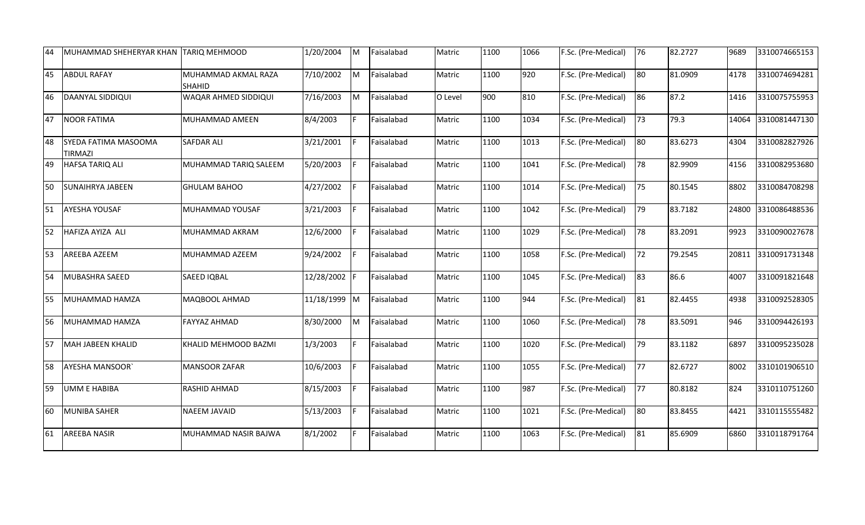| 44 | IMUHAMMAD SHEHERYAR KHAN        | <b>TARIQ MEHMOOD</b>          | 1/20/2004    | <b>M</b> | Faisalabad | Matric  | 1100 | 1066 | F.Sc. (Pre-Medical) | 76 | 82.2727 | 9689  | 3310074665153 |
|----|---------------------------------|-------------------------------|--------------|----------|------------|---------|------|------|---------------------|----|---------|-------|---------------|
| 45 | <b>ABDUL RAFAY</b>              | MUHAMMAD AKMAL RAZA<br>SHAHID | 7/10/2002    | M        | Faisalabad | Matric  | 1100 | 920  | F.Sc. (Pre-Medical) | 80 | 81.0909 | 4178  | 3310074694281 |
| 46 | DAANYAL SIDDIQUI                | WAQAR AHMED SIDDIQUI          | 7/16/2003    | <b>M</b> | Faisalabad | O Level | 900  | 810  | F.Sc. (Pre-Medical) | 86 | 87.2    | 1416  | 3310075755953 |
| 47 | <b>NOOR FATIMA</b>              | MUHAMMAD AMEEN                | 8/4/2003     | F        | Faisalabad | Matric  | 1100 | 1034 | F.Sc. (Pre-Medical) | 73 | 79.3    | 14064 | 3310081447130 |
| 48 | SYEDA FATIMA MASOOMA<br>TIRMAZI | <b>SAFDAR ALI</b>             | 3/21/2001    | F        | Faisalabad | Matric  | 1100 | 1013 | F.Sc. (Pre-Medical) | 80 | 83.6273 | 4304  | 3310082827926 |
| 49 | HAFSA TARIQ ALI                 | MUHAMMAD TARIQ SALEEM         | 5/20/2003    | F        | Faisalabad | Matric  | 1100 | 1041 | F.Sc. (Pre-Medical) | 78 | 82.9909 | 4156  | 3310082953680 |
| 50 | <b>SUNAIHRYA JABEEN</b>         | GHULAM BAHOO                  | 4/27/2002    |          | Faisalabad | Matric  | 1100 | 1014 | F.Sc. (Pre-Medical) | 75 | 80.1545 | 8802  | 3310084708298 |
| 51 | <b>AYESHA YOUSAF</b>            | MUHAMMAD YOUSAF               | 3/21/2003    | F        | Faisalabad | Matric  | 1100 | 1042 | F.Sc. (Pre-Medical) | 79 | 83.7182 | 24800 | 3310086488536 |
| 52 | HAFIZA AYIZA ALI                | MUHAMMAD AKRAM                | 12/6/2000    | F        | Faisalabad | Matric  | 1100 | 1029 | F.Sc. (Pre-Medical) | 78 | 83.2091 | 9923  | 3310090027678 |
| 53 | AREEBA AZEEM                    | MUHAMMAD AZEEM                | 9/24/2002    | F        | Faisalabad | Matric  | 1100 | 1058 | F.Sc. (Pre-Medical) | 72 | 79.2545 | 20811 | 3310091731348 |
| 54 | MUBASHRA SAEED                  | SAEED IQBAL                   | 12/28/2002 F |          | Faisalabad | Matric  | 1100 | 1045 | F.Sc. (Pre-Medical) | 83 | 86.6    | 4007  | 3310091821648 |
| 55 | MUHAMMAD HAMZA                  | MAQBOOL AHMAD                 | 11/18/1999 M |          | Faisalabad | Matric  | 1100 | 944  | F.Sc. (Pre-Medical) | 81 | 82.4455 | 4938  | 3310092528305 |
| 56 | MUHAMMAD HAMZA                  | <b>FAYYAZ AHMAD</b>           | 8/30/2000    | M        | Faisalabad | Matric  | 1100 | 1060 | F.Sc. (Pre-Medical) | 78 | 83.5091 | 946   | 3310094426193 |
| 57 | <b>MAH JABEEN KHALID</b>        | KHALID MEHMOOD BAZMI          | 1/3/2003     | F.       | Faisalabad | Matric  | 1100 | 1020 | F.Sc. (Pre-Medical) | 79 | 83.1182 | 6897  | 3310095235028 |
| 58 | <b>AYESHA MANSOOR</b>           | <b>MANSOOR ZAFAR</b>          | 10/6/2003    | IF.      | Faisalabad | Matric  | 1100 | 1055 | F.Sc. (Pre-Medical) | 77 | 82.6727 | 8002  | 3310101906510 |
| 59 | <b>UMM E HABIBA</b>             | RASHID AHMAD                  | 8/15/2003    | F        | Faisalabad | Matric  | 1100 | 987  | F.Sc. (Pre-Medical) | 77 | 80.8182 | 824   | 3310110751260 |
| 60 | <b>MUNIBA SAHER</b>             | <b>NAEEM JAVAID</b>           | 5/13/2003    | IF.      | Faisalabad | Matric  | 1100 | 1021 | F.Sc. (Pre-Medical) | 80 | 83.8455 | 4421  | 3310115555482 |
| 61 | <b>AREEBA NASIR</b>             | MUHAMMAD NASIR BAJWA          | 8/1/2002     |          | Faisalabad | Matric  | 1100 | 1063 | F.Sc. (Pre-Medical) | 81 | 85.6909 | 6860  | 3310118791764 |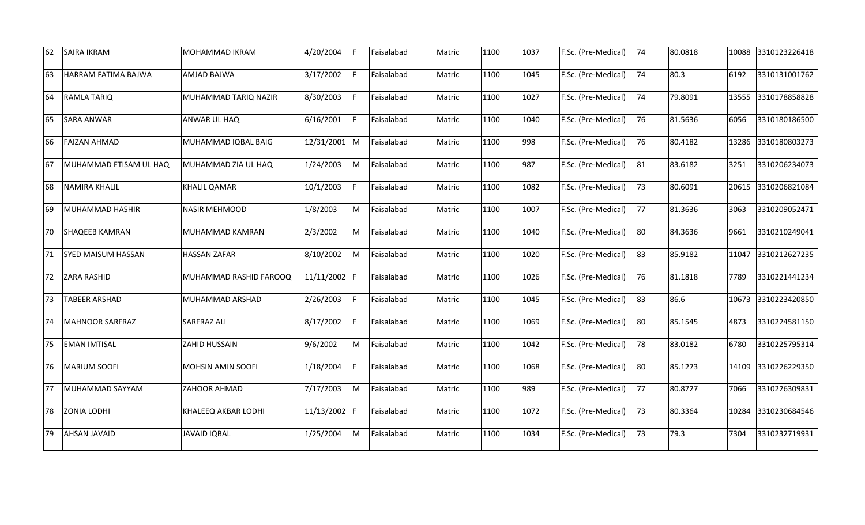| 62 | <b>SAIRA IKRAM</b>        | MOHAMMAD IKRAM         | 4/20/2004  | F        | Faisalabad | Matric | 1100 | 1037 | F.Sc. (Pre-Medical) | 74 | 80.0818 | 10088 | 3310123226418 |
|----|---------------------------|------------------------|------------|----------|------------|--------|------|------|---------------------|----|---------|-------|---------------|
| 63 | HARRAM FATIMA BAJWA       | AMJAD BAJWA            | 3/17/2002  | F        | Faisalabad | Matric | 1100 | 1045 | F.Sc. (Pre-Medical) | 74 | 80.3    | 6192  | 3310131001762 |
| 64 | <b>RAMLA TARIQ</b>        | MUHAMMAD TARIQ NAZIR   | 8/30/2003  | F        | Faisalabad | Matric | 1100 | 1027 | F.Sc. (Pre-Medical) | 74 | 79.8091 | 13555 | 3310178858828 |
| 65 | <b>SARA ANWAR</b>         | ANWAR UL HAQ           | 6/16/2001  | IF.      | Faisalabad | Matric | 1100 | 1040 | F.Sc. (Pre-Medical) | 76 | 81.5636 | 6056  | 3310180186500 |
| 66 | <b>FAIZAN AHMAD</b>       | MUHAMMAD IQBAL BAIG    | 12/31/2001 | M        | Faisalabad | Matric | 1100 | 998  | F.Sc. (Pre-Medical) | 76 | 80.4182 | 13286 | 3310180803273 |
| 67 | MUHAMMAD ETISAM UL HAQ    | MUHAMMAD ZIA UL HAQ    | 1/24/2003  | M        | Faisalabad | Matric | 1100 | 987  | F.Sc. (Pre-Medical) | 81 | 83.6182 | 3251  | 3310206234073 |
| 68 | NAMIRA KHALIL             | KHALIL QAMAR           | 10/1/2003  | F        | Faisalabad | Matric | 1100 | 1082 | F.Sc. (Pre-Medical) | 73 | 80.6091 | 20615 | 3310206821084 |
| 69 | MUHAMMAD HASHIR           | NASIR MEHMOOD          | 1/8/2003   | M        | Faisalabad | Matric | 1100 | 1007 | F.Sc. (Pre-Medical) | 77 | 81.3636 | 3063  | 3310209052471 |
| 70 | <b>SHAQEEB KAMRAN</b>     | MUHAMMAD KAMRAN        | 2/3/2002   | M        | Faisalabad | Matric | 1100 | 1040 | F.Sc. (Pre-Medical) | 80 | 84.3636 | 9661  | 3310210249041 |
| 71 | <b>SYED MAISUM HASSAN</b> | <b>HASSAN ZAFAR</b>    | 8/10/2002  | M        | Faisalabad | Matric | 1100 | 1020 | F.Sc. (Pre-Medical) | 83 | 85.9182 | 11047 | 3310212627235 |
| 72 | <b>ZARA RASHID</b>        | MUHAMMAD RASHID FAROOQ | 11/11/2002 | IF.      | Faisalabad | Matric | 1100 | 1026 | F.Sc. (Pre-Medical) | 76 | 81.1818 | 7789  | 3310221441234 |
| 73 | <b>TABEER ARSHAD</b>      | MUHAMMAD ARSHAD        | 2/26/2003  | F        | Faisalabad | Matric | 1100 | 1045 | F.Sc. (Pre-Medical) | 83 | 86.6    | 10673 | 3310223420850 |
| 74 | MAHNOOR SARFRAZ           | SARFRAZ ALI            | 8/17/2002  | F        | Faisalabad | Matric | 1100 | 1069 | F.Sc. (Pre-Medical) | 80 | 85.1545 | 4873  | 3310224581150 |
| 75 | <b>EMAN IMTISAL</b>       | ZAHID HUSSAIN          | 9/6/2002   | <b>M</b> | Faisalabad | Matric | 1100 | 1042 | F.Sc. (Pre-Medical) | 78 | 83.0182 | 6780  | 3310225795314 |
| 76 | MARIUM SOOFI              | MOHSIN AMIN SOOFI      | 1/18/2004  | F        | Faisalabad | Matric | 1100 | 1068 | F.Sc. (Pre-Medical) | 80 | 85.1273 | 14109 | 3310226229350 |
| 77 | MUHAMMAD SAYYAM           | ZAHOOR AHMAD           | 7/17/2003  | M        | Faisalabad | Matric | 1100 | 989  | F.Sc. (Pre-Medical) | 77 | 80.8727 | 7066  | 3310226309831 |
| 78 | <b>ZONIA LODHI</b>        | KHALEEQ AKBAR LODHI    | 11/13/2002 | IF.      | Faisalabad | Matric | 1100 | 1072 | F.Sc. (Pre-Medical) | 73 | 80.3364 | 10284 | 3310230684546 |
| 79 | <b>AHSAN JAVAID</b>       | <b>JAVAID IQBAL</b>    | 1/25/2004  | <b>M</b> | Faisalabad | Matric | 1100 | 1034 | F.Sc. (Pre-Medical) | 73 | 79.3    | 7304  | 3310232719931 |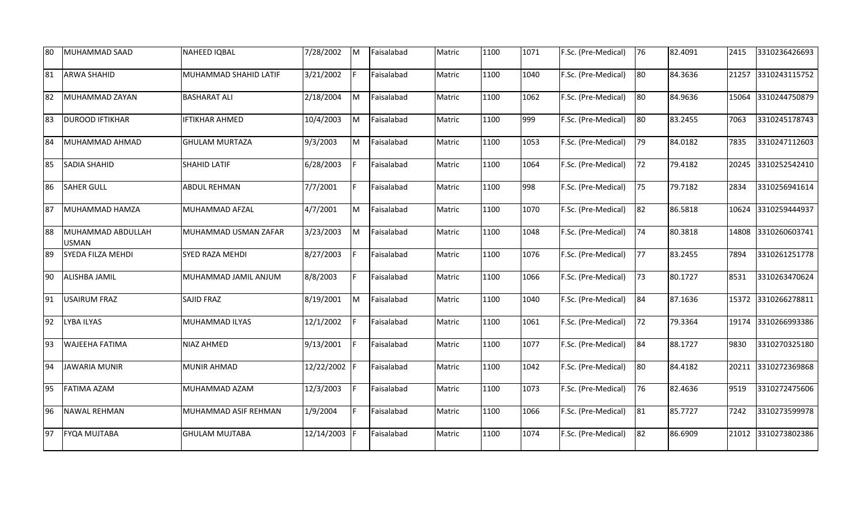| 80 | MUHAMMAD SAAD                     | NAHEED IQBAL          | 7/28/2002    | <b>M</b>  | Faisalabad | Matric | 1100 | 1071 | F.Sc. (Pre-Medical) | 76              | 82.4091 | 2415  | 3310236426693 |
|----|-----------------------------------|-----------------------|--------------|-----------|------------|--------|------|------|---------------------|-----------------|---------|-------|---------------|
| 81 | <b>ARWA SHAHID</b>                | MUHAMMAD SHAHID LATIF | 3/21/2002    | F         | Faisalabad | Matric | 1100 | 1040 | F.Sc. (Pre-Medical) | 80              | 84.3636 | 21257 | 3310243115752 |
| 82 | MUHAMMAD ZAYAN                    | <b>BASHARAT ALI</b>   | 2/18/2004    | M         | Faisalabad | Matric | 1100 | 1062 | F.Sc. (Pre-Medical) | 80              | 84.9636 | 15064 | 3310244750879 |
| 83 | <b>DUROOD IFTIKHAR</b>            | <b>IFTIKHAR AHMED</b> | 10/4/2003    | M         | Faisalabad | Matric | 1100 | 999  | F.Sc. (Pre-Medical) | 80              | 83.2455 | 7063  | 3310245178743 |
| 84 | MUHAMMAD AHMAD                    | <b>GHULAM MURTAZA</b> | 9/3/2003     | M         | Faisalabad | Matric | 1100 | 1053 | F.Sc. (Pre-Medical) | 79              | 84.0182 | 7835  | 3310247112603 |
| 85 | <b>SADIA SHAHID</b>               | SHAHID LATIF          | 6/28/2003    | F         | Faisalabad | Matric | 1100 | 1064 | F.Sc. (Pre-Medical) | 72              | 79.4182 | 20245 | 3310252542410 |
| 86 | <b>SAHER GULL</b>                 | <b>ABDUL REHMAN</b>   | 7/7/2001     | F         | Faisalabad | Matric | 1100 | 998  | F.Sc. (Pre-Medical) | 75              | 79.7182 | 2834  | 3310256941614 |
| 87 | MUHAMMAD HAMZA                    | MUHAMMAD AFZAL        | 4/7/2001     | M         | Faisalabad | Matric | 1100 | 1070 | F.Sc. (Pre-Medical) | 82              | 86.5818 | 10624 | 3310259444937 |
| 88 | MUHAMMAD ABDULLAH<br><b>USMAN</b> | MUHAMMAD USMAN ZAFAR  | 3/23/2003    | <b>Ім</b> | Faisalabad | Matric | 1100 | 1048 | F.Sc. (Pre-Medical) | 74              | 80.3818 | 14808 | 3310260603741 |
| 89 | <b>SYEDA FILZA MEHDI</b>          | SYED RAZA MEHDI       | 8/27/2003    | F         | Faisalabad | Matric | 1100 | 1076 | F.Sc. (Pre-Medical) | 77              | 83.2455 | 7894  | 3310261251778 |
| 90 | <b>ALISHBA JAMIL</b>              | MUHAMMAD JAMIL ANJUM  | 8/8/2003     | F         | Faisalabad | Matric | 1100 | 1066 | F.Sc. (Pre-Medical) | 73              | 80.1727 | 8531  | 3310263470624 |
| 91 | <b>USAIRUM FRAZ</b>               | SAJID FRAZ            | 8/19/2001    | M         | Faisalabad | Matric | 1100 | 1040 | F.Sc. (Pre-Medical) | 84              | 87.1636 | 15372 | 3310266278811 |
| 92 | LYBA ILYAS                        | MUHAMMAD ILYAS        | 12/1/2002    | F         | Faisalabad | Matric | 1100 | 1061 | F.Sc. (Pre-Medical) | $\overline{72}$ | 79.3364 | 19174 | 3310266993386 |
| 93 | <b>WAJEEHA FATIMA</b>             | NIAZ AHMED            | 9/13/2001    | F         | Faisalabad | Matric | 1100 | 1077 | F.Sc. (Pre-Medical) | 84              | 88.1727 | 9830  | 3310270325180 |
| 94 | <b>JAWARIA MUNIR</b>              | MUNIR AHMAD           | 12/22/2002 F |           | Faisalabad | Matric | 1100 | 1042 | F.Sc. (Pre-Medical) | 80              | 84.4182 | 20211 | 3310272369868 |
| 95 | <b>FATIMA AZAM</b>                | MUHAMMAD AZAM         | 12/3/2003    | F         | Faisalabad | Matric | 1100 | 1073 | F.Sc. (Pre-Medical) | 76              | 82.4636 | 9519  | 3310272475606 |
| 96 | NAWAL REHMAN                      | MUHAMMAD ASIF REHMAN  | 1/9/2004     | F.        | Faisalabad | Matric | 1100 | 1066 | F.Sc. (Pre-Medical) | 81              | 85.7727 | 7242  | 3310273599978 |
| 97 | <b>FYQA MUJTABA</b>               | <b>GHULAM MUJTABA</b> | 12/14/2003   |           | Faisalabad | Matric | 1100 | 1074 | F.Sc. (Pre-Medical) | 82              | 86.6909 | 21012 | 3310273802386 |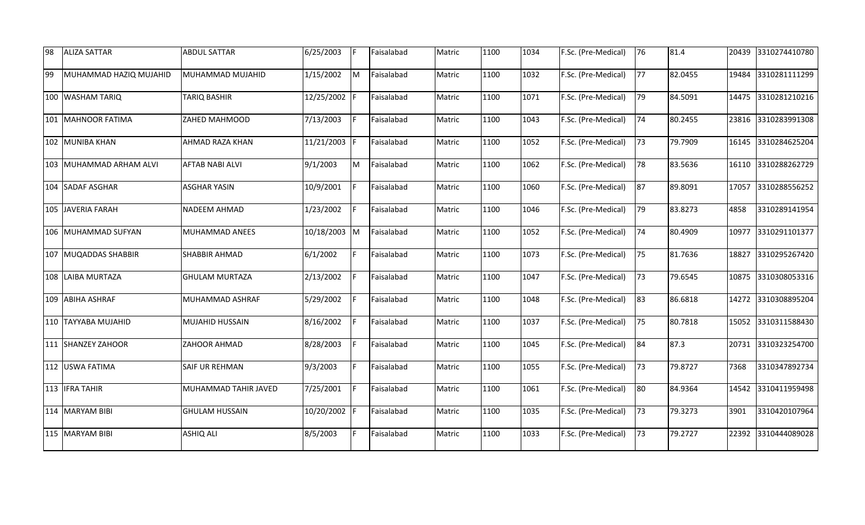| 98 | <b>ALIZA SATTAR</b>     | <b>ABDUL SATTAR</b>    | 6/25/2003  | IF.          | Faisalabad | Matric | 1100 | 1034 | F.Sc. (Pre-Medical) | 76 | 81.4    | 20439 | 3310274410780 |
|----|-------------------------|------------------------|------------|--------------|------------|--------|------|------|---------------------|----|---------|-------|---------------|
| 99 | MUHAMMAD HAZIQ MUJAHID  | MUHAMMAD MUJAHID       | 1/15/2002  | M            | Faisalabad | Matric | 1100 | 1032 | F.Sc. (Pre-Medical) | 77 | 82.0455 | 19484 | 3310281111299 |
|    | 100 WASHAM TARIQ        | <b>TARIQ BASHIR</b>    | 12/25/2002 |              | Faisalabad | Matric | 1100 | 1071 | F.Sc. (Pre-Medical) | 79 | 84.5091 | 14475 | 3310281210216 |
|    | 101 MAHNOOR FATIMA      | ZAHED MAHMOOD          | 7/13/2003  | IF.          | Faisalabad | Matric | 1100 | 1043 | F.Sc. (Pre-Medical) | 74 | 80.2455 | 23816 | 3310283991308 |
|    | 102 MUNIBA KHAN         | AHMAD RAZA KHAN        | 11/21/2003 | IF.          | Faisalabad | Matric | 1100 | 1052 | F.Sc. (Pre-Medical) | 73 | 79.7909 | 16145 | 3310284625204 |
|    | 103 MUHAMMAD ARHAM ALVI | <b>AFTAB NABI ALVI</b> | 9/1/2003   | M            | Faisalabad | Matric | 1100 | 1062 | F.Sc. (Pre-Medical) | 78 | 83.5636 | 16110 | 3310288262729 |
|    | 104 SADAF ASGHAR        | <b>ASGHAR YASIN</b>    | 10/9/2001  |              | Faisalabad | Matric | 1100 | 1060 | F.Sc. (Pre-Medical) | 87 | 89.8091 | 17057 | 3310288556252 |
|    | 105 JAVERIA FARAH       | NADEEM AHMAD           | 1/23/2002  |              | Faisalabad | Matric | 1100 | 1046 | F.Sc. (Pre-Medical) | 79 | 83.8273 | 4858  | 3310289141954 |
|    | 106 MUHAMMAD SUFYAN     | MUHAMMAD ANEES         | 10/18/2003 | $\mathsf{M}$ | Faisalabad | Matric | 1100 | 1052 | F.Sc. (Pre-Medical) | 74 | 80.4909 | 10977 | 3310291101377 |
|    | 107 MUQADDAS SHABBIR    | SHABBIR AHMAD          | 6/1/2002   | F            | Faisalabad | Matric | 1100 | 1073 | F.Sc. (Pre-Medical) | 75 | 81.7636 | 18827 | 3310295267420 |
|    | 108 LAIBA MURTAZA       | <b>GHULAM MURTAZA</b>  | 2/13/2002  |              | Faisalabad | Matric | 1100 | 1047 | F.Sc. (Pre-Medical) | 73 | 79.6545 | 10875 | 3310308053316 |
|    | 109 ABIHA ASHRAF        | MUHAMMAD ASHRAF        | 5/29/2002  |              | Faisalabad | Matric | 1100 | 1048 | F.Sc. (Pre-Medical) | 83 | 86.6818 | 14272 | 3310308895204 |
|    | 110 TAYYABA MUJAHID     | MUJAHID HUSSAIN        | 8/16/2002  | l F          | Faisalabad | Matric | 1100 | 1037 | F.Sc. (Pre-Medical) | 75 | 80.7818 | 15052 | 3310311588430 |
|    | 111 SHANZEY ZAHOOR      | ZAHOOR AHMAD           | 8/28/2003  | IF.          | Faisalabad | Matric | 1100 | 1045 | F.Sc. (Pre-Medical) | 84 | 87.3    | 20731 | 3310323254700 |
|    | 112 USWA FATIMA         | SAIF UR REHMAN         | 9/3/2003   | F            | Faisalabad | Matric | 1100 | 1055 | F.Sc. (Pre-Medical) | 73 | 79.8727 | 7368  | 3310347892734 |
|    | 113 <b>IFRA TAHIR</b>   | MUHAMMAD TAHIR JAVED   | 7/25/2001  | F            | Faisalabad | Matric | 1100 | 1061 | F.Sc. (Pre-Medical) | 80 | 84.9364 | 14542 | 3310411959498 |
|    | 114 MARYAM BIBI         | <b>GHULAM HUSSAIN</b>  | 10/20/2002 | IF           | Faisalabad | Matric | 1100 | 1035 | F.Sc. (Pre-Medical) | 73 | 79.3273 | 3901  | 3310420107964 |
|    | 115 MARYAM BIBI         | <b>ASHIQ ALI</b>       | 8/5/2003   |              | Faisalabad | Matric | 1100 | 1033 | F.Sc. (Pre-Medical) | 73 | 79.2727 | 22392 | 3310444089028 |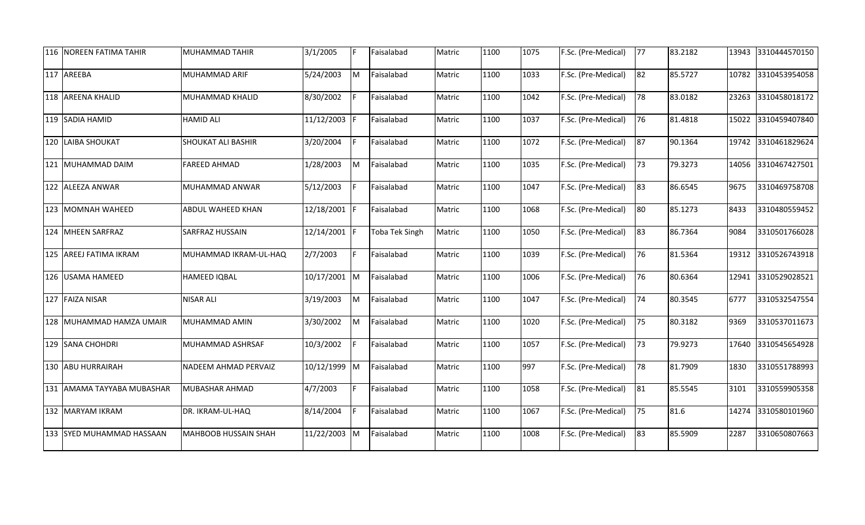| 116 NOREEN FATIMA TAHIR    | MUHAMMAD TAHIR           | 3/1/2005     | IF.      | Faisalabad     | Matric | 1100 | 1075 | F.Sc. (Pre-Medical) | 77           | 83.2182 | 13943 | 3310444570150 |
|----------------------------|--------------------------|--------------|----------|----------------|--------|------|------|---------------------|--------------|---------|-------|---------------|
| 117 AREEBA                 | MUHAMMAD ARIF            | 5/24/2003    | M        | Faisalabad     | Matric | 1100 | 1033 | F.Sc. (Pre-Medical) | 82           | 85.5727 | 10782 | 3310453954058 |
| 118 AREENA KHALID          | MUHAMMAD KHALID          | 8/30/2002    | F        | Faisalabad     | Matric | 1100 | 1042 | F.Sc. (Pre-Medical) | 78           | 83.0182 | 23263 | 3310458018172 |
| 119 SADIA HAMID            | <b>HAMID ALI</b>         | 11/12/2003   | IF       | Faisalabad     | Matric | 1100 | 1037 | F.Sc. (Pre-Medical) | 76           | 81.4818 | 15022 | 3310459407840 |
| 120 LAIBA SHOUKAT          | SHOUKAT ALI BASHIR       | 3/20/2004    | F        | Faisalabad     | Matric | 1100 | 1072 | F.Sc. (Pre-Medical) | 87           | 90.1364 | 19742 | 3310461829624 |
| 121 MUHAMMAD DAIM          | <b>FAREED AHMAD</b>      | 1/28/2003    | M        | Faisalabad     | Matric | 1100 | 1035 | F.Sc. (Pre-Medical) | $ 73\rangle$ | 79.3273 | 14056 | 3310467427501 |
| 122 ALEEZA ANWAR           | MUHAMMAD ANWAR           | 5/12/2003    | F        | Faisalabad     | Matric | 1100 | 1047 | F.Sc. (Pre-Medical) | 83           | 86.6545 | 9675  | 3310469758708 |
| 123 MOMNAH WAHEED          | <b>ABDUL WAHEED KHAN</b> | 12/18/2001   | IF.      | Faisalabad     | Matric | 1100 | 1068 | F.Sc. (Pre-Medical) | 80           | 85.1273 | 8433  | 3310480559452 |
| 124 MHEEN SARFRAZ          | SARFRAZ HUSSAIN          | 12/14/2001   | IF.      | Toba Tek Singh | Matric | 1100 | 1050 | F.Sc. (Pre-Medical) | 83           | 86.7364 | 9084  | 3310501766028 |
| 125 AREEJ FATIMA IKRAM     | MUHAMMAD IKRAM-UL-HAQ    | 2/7/2003     | F        | Faisalabad     | Matric | 1100 | 1039 | F.Sc. (Pre-Medical) | 76           | 81.5364 | 19312 | 3310526743918 |
| 126 USAMA HAMEED           | HAMEED IQBAL             | 10/17/2001 M |          | Faisalabad     | Matric | 1100 | 1006 | F.Sc. (Pre-Medical) | 76           | 80.6364 | 12941 | 3310529028521 |
| 127 FAIZA NISAR            | <b>NISAR ALI</b>         | 3/19/2003    | M        | Faisalabad     | Matric | 1100 | 1047 | F.Sc. (Pre-Medical) | 74           | 80.3545 | 6777  | 3310532547554 |
| 128 MUHAMMAD HAMZA UMAIR   | MUHAMMAD AMIN            | 3/30/2002    | M        | Faisalabad     | Matric | 1100 | 1020 | F.Sc. (Pre-Medical) | 75           | 80.3182 | 9369  | 3310537011673 |
| 129 SANA CHOHDRI           | MUHAMMAD ASHRSAF         | 10/3/2002    | F        | Faisalabad     | Matric | 1100 | 1057 | F.Sc. (Pre-Medical) | 73           | 79.9273 | 17640 | 3310545654928 |
| 130 ABU HURRAIRAH          | NADEEM AHMAD PERVAIZ     | 10/12/1999 M |          | Faisalabad     | Matric | 1100 | 997  | F.Sc. (Pre-Medical) | 78           | 81.7909 | 1830  | 3310551788993 |
| 131 AMAMA TAYYABA MUBASHAR | MUBASHAR AHMAD           | 4/7/2003     | F        | Faisalabad     | Matric | 1100 | 1058 | F.Sc. (Pre-Medical) | 81           | 85.5545 | 3101  | 3310559905358 |
| 132 MARYAM IKRAM           | DR. IKRAM-UL-HAQ         | 8/14/2004    | F        | Faisalabad     | Matric | 1100 | 1067 | F.Sc. (Pre-Medical) | 75           | 81.6    | 14274 | 3310580101960 |
| 133 SYED MUHAMMAD HASSAAN  | MAHBOOB HUSSAIN SHAH     | 11/22/2003   | <b>M</b> | Faisalabad     | Matric | 1100 | 1008 | F.Sc. (Pre-Medical) | 83           | 85.5909 | 2287  | 3310650807663 |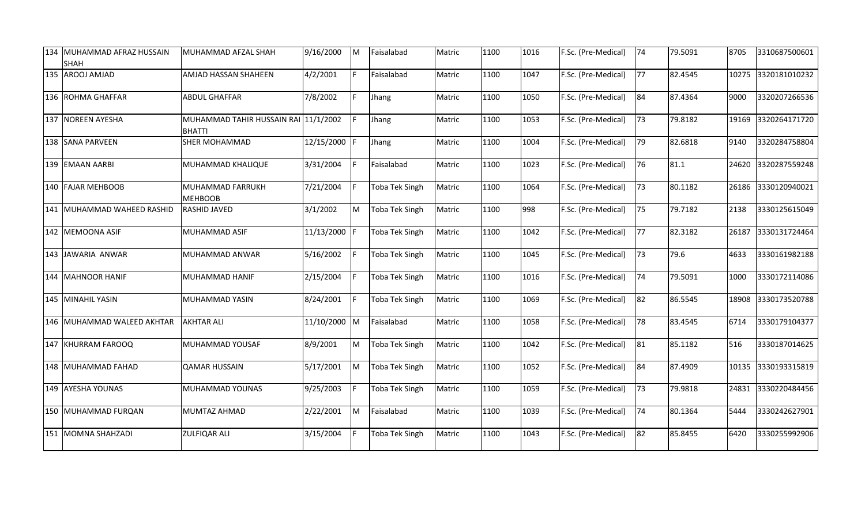| 134 MUHAMMAD AFRAZ HUSSAIN<br><b>SHAH</b> | MUHAMMAD AFZAL SHAH                                   | 9/16/2000    | M  | Faisalabad            | Matric | 1100 | 1016 | F.Sc. (Pre-Medical) | 74 | 79.5091 | 8705  | 3310687500601 |
|-------------------------------------------|-------------------------------------------------------|--------------|----|-----------------------|--------|------|------|---------------------|----|---------|-------|---------------|
| 135 AROOJ AMJAD                           | AMJAD HASSAN SHAHEEN                                  | 4/2/2001     | F. | Faisalabad            | Matric | 1100 | 1047 | F.Sc. (Pre-Medical) | 77 | 82.4545 | 10275 | 3320181010232 |
| 136 ROHMA GHAFFAR                         | <b>ABDUL GHAFFAR</b>                                  | 7/8/2002     | F  | Jhang                 | Matric | 1100 | 1050 | F.Sc. (Pre-Medical) | 84 | 87.4364 | 9000  | 3320207266536 |
| 137 NOREEN AYESHA                         | MUHAMMAD TAHIR HUSSAIN RAI 11/1/2002<br><b>BHATTI</b> |              |    | Jhang                 | Matric | 1100 | 1053 | F.Sc. (Pre-Medical) | 73 | 79.8182 | 19169 | 3320264171720 |
| 138 SANA PARVEEN                          | <b>SHER MOHAMMAD</b>                                  | 12/15/2000   |    | Jhang                 | Matric | 1100 | 1004 | F.Sc. (Pre-Medical) | 79 | 82.6818 | 9140  | 3320284758804 |
| 139 EMAAN AARBI                           | MUHAMMAD KHALIQUE                                     | 3/31/2004    |    | Faisalabad            | Matric | 1100 | 1023 | F.Sc. (Pre-Medical) | 76 | 81.1    | 24620 | 3320287559248 |
| 140 FAJAR MEHBOOB                         | MUHAMMAD FARRUKH<br><b>MEHBOOB</b>                    | 7/21/2004    |    | Toba Tek Singh        | Matric | 1100 | 1064 | F.Sc. (Pre-Medical) | 73 | 80.1182 | 26186 | 3330120940021 |
| 141 MUHAMMAD WAHEED RASHID                | RASHID JAVED                                          | 3/1/2002     | M  | <b>Toba Tek Singh</b> | Matric | 1100 | 998  | F.Sc. (Pre-Medical) | 75 | 79.7182 | 2138  | 3330125615049 |
| 142 MEMOONA ASIF                          | MUHAMMAD ASIF                                         | 11/13/2000   |    | <b>Toba Tek Singh</b> | Matric | 1100 | 1042 | F.Sc. (Pre-Medical) | 77 | 82.3182 | 26187 | 3330131724464 |
| 143 JAWARIA ANWAR                         | MUHAMMAD ANWAR                                        | 5/16/2002    |    | <b>Toba Tek Singh</b> | Matric | 1100 | 1045 | F.Sc. (Pre-Medical) | 73 | 79.6    | 4633  | 3330161982188 |
| 144 MAHNOOR HANIF                         | MUHAMMAD HANIF                                        | 2/15/2004    |    | Toba Tek Singh        | Matric | 1100 | 1016 | F.Sc. (Pre-Medical) | 74 | 79.5091 | 1000  | 3330172114086 |
| 145 MINAHIL YASIN                         | MUHAMMAD YASIN                                        | 8/24/2001    |    | <b>Toba Tek Singh</b> | Matric | 1100 | 1069 | F.Sc. (Pre-Medical) | 82 | 86.5545 | 18908 | 3330173520788 |
| 146 MUHAMMAD WALEED AKHTAR                | <b>AKHTAR ALI</b>                                     | 11/10/2000 M |    | Faisalabad            | Matric | 1100 | 1058 | F.Sc. (Pre-Medical) | 78 | 83.4545 | 6714  | 3330179104377 |
| 147 KHURRAM FAROOQ                        | MUHAMMAD YOUSAF                                       | 8/9/2001     | M  | Toba Tek Singh        | Matric | 1100 | 1042 | F.Sc. (Pre-Medical) | 81 | 85.1182 | 516   | 3330187014625 |
| 148 MUHAMMAD FAHAD                        | <b>QAMAR HUSSAIN</b>                                  | 5/17/2001    | M  | <b>Toba Tek Singh</b> | Matric | 1100 | 1052 | F.Sc. (Pre-Medical) | 84 | 87.4909 | 10135 | 3330193315819 |
| 149 AYESHA YOUNAS                         | MUHAMMAD YOUNAS                                       | 9/25/2003    |    | <b>Toba Tek Singh</b> | Matric | 1100 | 1059 | F.Sc. (Pre-Medical) | 73 | 79.9818 | 24831 | 3330220484456 |
| 150 MUHAMMAD FURQAN                       | MUMTAZ AHMAD                                          | 2/22/2001    | M  | Faisalabad            | Matric | 1100 | 1039 | F.Sc. (Pre-Medical) | 74 | 80.1364 | 5444  | 3330242627901 |
| 151 MOMNA SHAHZADI                        | <b>ZULFIQAR ALI</b>                                   | 3/15/2004    |    | Toba Tek Singh        | Matric | 1100 | 1043 | F.Sc. (Pre-Medical) | 82 | 85.8455 | 6420  | 3330255992906 |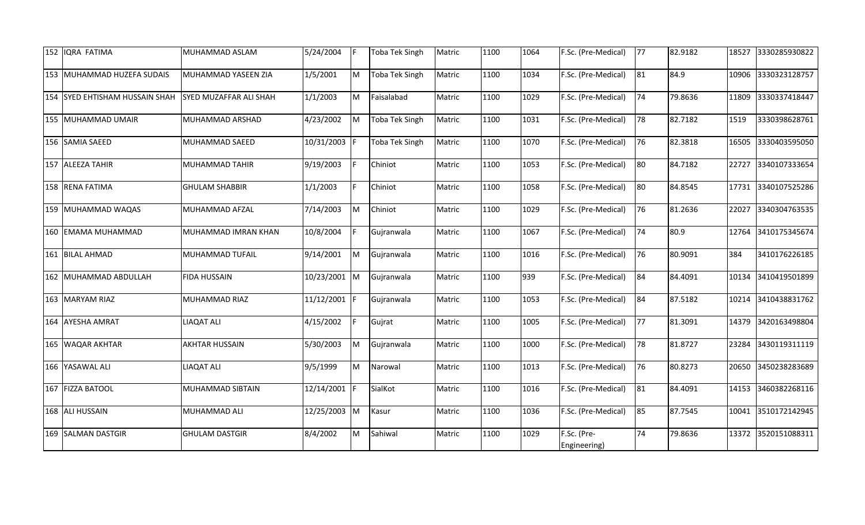| 152 IQRA FATIMA                | MUHAMMAD ASLAM         | 5/24/2004  | IF.          | <b>Toba Tek Singh</b> | Matric | 1100 | 1064 | F.Sc. (Pre-Medical)         | 77 | 82.9182 | 18527 | 3330285930822 |
|--------------------------------|------------------------|------------|--------------|-----------------------|--------|------|------|-----------------------------|----|---------|-------|---------------|
| 153 MUHAMMAD HUZEFA SUDAIS     | MUHAMMAD YASEEN ZIA    | 1/5/2001   | M            | <b>Toba Tek Singh</b> | Matric | 1100 | 1034 | F.Sc. (Pre-Medical)         | 81 | 84.9    | 10906 | 3330323128757 |
| 154 SYED EHTISHAM HUSSAIN SHAH | SYED MUZAFFAR ALI SHAH | 1/1/2003   | M            | Faisalabad            | Matric | 1100 | 1029 | F.Sc. (Pre-Medical)         | 74 | 79.8636 | 11809 | 3330337418447 |
| 155 MUHAMMAD UMAIR             | MUHAMMAD ARSHAD        | 4/23/2002  | M            | <b>Toba Tek Singh</b> | Matric | 1100 | 1031 | F.Sc. (Pre-Medical)         | 78 | 82.7182 | 1519  | 3330398628761 |
| 156 SAMIA SAEED                | MUHAMMAD SAEED         | 10/31/2003 |              | <b>Toba Tek Singh</b> | Matric | 1100 | 1070 | F.Sc. (Pre-Medical)         | 76 | 82.3818 | 16505 | 3330403595050 |
| 157 ALEEZA TAHIR               | MUHAMMAD TAHIR         | 9/19/2003  | IF.          | Chiniot               | Matric | 1100 | 1053 | F.Sc. (Pre-Medical)         | 80 | 84.7182 | 22727 | 3340107333654 |
| 158 RENA FATIMA                | <b>GHULAM SHABBIR</b>  | 1/1/2003   | F.           | Chiniot               | Matric | 1100 | 1058 | F.Sc. (Pre-Medical)         | 80 | 84.8545 | 17731 | 3340107525286 |
| 159 MUHAMMAD WAQAS             | MUHAMMAD AFZAL         | 7/14/2003  | M            | Chiniot               | Matric | 1100 | 1029 | F.Sc. (Pre-Medical)         | 76 | 81.2636 | 22027 | 3340304763535 |
| 160 EMAMA MUHAMMAD             | MUHAMMAD IMRAN KHAN    | 10/8/2004  |              | Gujranwala            | Matric | 1100 | 1067 | F.Sc. (Pre-Medical)         | 74 | 80.9    | 12764 | 3410175345674 |
| 161 BILAL AHMAD                | MUHAMMAD TUFAIL        | 9/14/2001  | M            | Gujranwala            | Matric | 1100 | 1016 | F.Sc. (Pre-Medical)         | 76 | 80.9091 | 384   | 3410176226185 |
| 162 MUHAMMAD ABDULLAH          | <b>FIDA HUSSAIN</b>    | 10/23/2001 | M            | Gujranwala            | Matric | 1100 | 939  | F.Sc. (Pre-Medical)         | 84 | 84.4091 | 10134 | 3410419501899 |
| 163 MARYAM RIAZ                | MUHAMMAD RIAZ          | 11/12/2001 |              | Gujranwala            | Matric | 1100 | 1053 | F.Sc. (Pre-Medical)         | 84 | 87.5182 | 10214 | 3410438831762 |
| 164 AYESHA AMRAT               | <b>LIAQAT ALI</b>      | 4/15/2002  | IF.          | Gujrat                | Matric | 1100 | 1005 | F.Sc. (Pre-Medical)         | 77 | 81.3091 | 14379 | 3420163498804 |
| 165 WAQAR AKHTAR               | <b>AKHTAR HUSSAIN</b>  | 5/30/2003  | M            | Gujranwala            | Matric | 1100 | 1000 | F.Sc. (Pre-Medical)         | 78 | 81.8727 | 23284 | 3430119311119 |
| 166 YASAWAL ALI                | LIAQAT ALI             | 9/5/1999   | <b>M</b>     | Narowal               | Matric | 1100 | 1013 | F.Sc. (Pre-Medical)         | 76 | 80.8273 | 20650 | 3450238283689 |
| 167 FIZZA BATOOL               | MUHAMMAD SIBTAIN       | 12/14/2001 | IF.          | SialKot               | Matric | 1100 | 1016 | F.Sc. (Pre-Medical)         | 81 | 84.4091 | 14153 | 3460382268116 |
| 168 ALI HUSSAIN                | MUHAMMAD ALI           | 12/25/2003 | $\mathsf{M}$ | Kasur                 | Matric | 1100 | 1036 | F.Sc. (Pre-Medical)         | 85 | 87.7545 | 10041 | 3510172142945 |
| 169 SALMAN DASTGIR             | <b>GHULAM DASTGIR</b>  | 8/4/2002   | M            | Sahiwal               | Matric | 1100 | 1029 | F.Sc. (Pre-<br>Engineering) | 74 | 79.8636 | 13372 | 3520151088311 |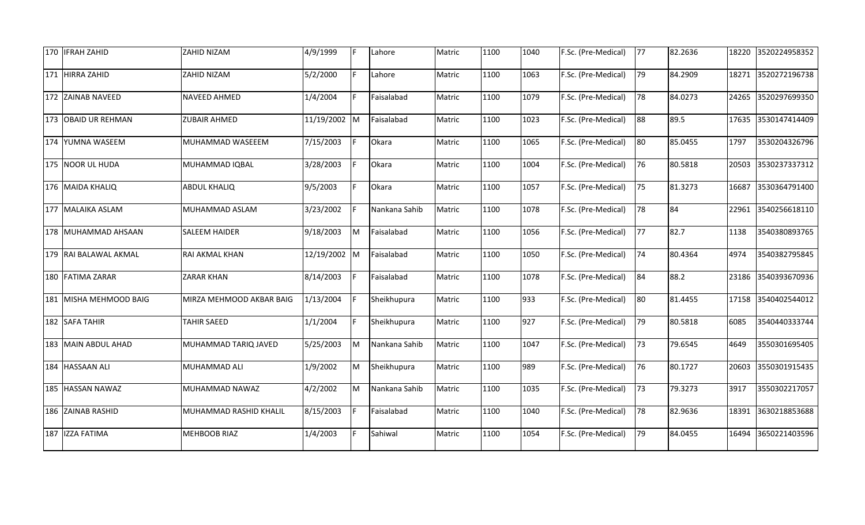| 170 <b>IFRAH ZAHID</b> | ZAHID NIZAM              | 4/9/1999     | F  | Lahore        | Matric | 1100 | 1040 | F.Sc. (Pre-Medical) | 77 | 82.2636 | 18220 | 3520224958352 |
|------------------------|--------------------------|--------------|----|---------------|--------|------|------|---------------------|----|---------|-------|---------------|
| 171 HIRRA ZAHID        | ZAHID NIZAM              | 5/2/2000     | F  | Lahore        | Matric | 1100 | 1063 | F.Sc. (Pre-Medical) | 79 | 84.2909 | 18271 | 3520272196738 |
| 172 ZAINAB NAVEED      | NAVEED AHMED             | 1/4/2004     | F. | Faisalabad    | Matric | 1100 | 1079 | F.Sc. (Pre-Medical) | 78 | 84.0273 | 24265 | 3520297699350 |
| 173 OBAID UR REHMAN    | <b>ZUBAIR AHMED</b>      | 11/19/2002 M |    | Faisalabad    | Matric | 1100 | 1023 | F.Sc. (Pre-Medical) | 88 | 89.5    | 17635 | 3530147414409 |
| 174 YUMNA WASEEM       | MUHAMMAD WASEEEM         | 7/15/2003    |    | Okara         | Matric | 1100 | 1065 | F.Sc. (Pre-Medical) | 80 | 85.0455 | 1797  | 3530204326796 |
| 175 NOOR UL HUDA       | MUHAMMAD IQBAL           | 3/28/2003    | F  | Okara         | Matric | 1100 | 1004 | F.Sc. (Pre-Medical) | 76 | 80.5818 | 20503 | 3530237337312 |
| 176 MAIDA KHALIQ       | <b>ABDUL KHALIQ</b>      | 9/5/2003     | F  | Okara         | Matric | 1100 | 1057 | F.Sc. (Pre-Medical) | 75 | 81.3273 | 16687 | 3530364791400 |
| 177 MALAIKA ASLAM      | MUHAMMAD ASLAM           | 3/23/2002    |    | Nankana Sahib | Matric | 1100 | 1078 | F.Sc. (Pre-Medical) | 78 | 84      | 22961 | 3540256618110 |
| 178 MUHAMMAD AHSAAN    | SALEEM HAIDER            | 9/18/2003    | M  | Faisalabad    | Matric | 1100 | 1056 | F.Sc. (Pre-Medical) | 77 | 82.7    | 1138  | 3540380893765 |
| 179 RAI BALAWAL AKMAL  | RAI AKMAL KHAN           | 12/19/2002 M |    | Faisalabad    | Matric | 1100 | 1050 | F.Sc. (Pre-Medical) | 74 | 80.4364 | 4974  | 3540382795845 |
| 180 FATIMA ZARAR       | <b>ZARAR KHAN</b>        | 8/14/2003    |    | Faisalabad    | Matric | 1100 | 1078 | F.Sc. (Pre-Medical) | 84 | 88.2    | 23186 | 3540393670936 |
| 181 MISHA MEHMOOD BAIG | MIRZA MEHMOOD AKBAR BAIG | 1/13/2004    | F  | Sheikhupura   | Matric | 1100 | 933  | F.Sc. (Pre-Medical) | 80 | 81.4455 | 17158 | 3540402544012 |
| 182 SAFA TAHIR         | <b>TAHIR SAEED</b>       | 1/1/2004     | F  | Sheikhupura   | Matric | 1100 | 927  | F.Sc. (Pre-Medical) | 79 | 80.5818 | 6085  | 3540440333744 |
| 183 MAIN ABDUL AHAD    | MUHAMMAD TARIQ JAVED     | 5/25/2003    | M  | Nankana Sahib | Matric | 1100 | 1047 | F.Sc. (Pre-Medical) | 73 | 79.6545 | 4649  | 3550301695405 |
| 184 HASSAAN ALI        | MUHAMMAD ALI             | 1/9/2002     | M  | Sheikhupura   | Matric | 1100 | 989  | F.Sc. (Pre-Medical) | 76 | 80.1727 | 20603 | 3550301915435 |
| 185 HASSAN NAWAZ       | MUHAMMAD NAWAZ           | 4/2/2002     | M  | Nankana Sahib | Matric | 1100 | 1035 | F.Sc. (Pre-Medical) | 73 | 79.3273 | 3917  | 3550302217057 |
| 186 ZAINAB RASHID      | MUHAMMAD RASHID KHALIL   | 8/15/2003    | F  | Faisalabad    | Matric | 1100 | 1040 | F.Sc. (Pre-Medical) | 78 | 82.9636 | 18391 | 3630218853688 |
| 187 IZZA FATIMA        | MEHBOOB RIAZ             | 1/4/2003     | E  | Sahiwal       | Matric | 1100 | 1054 | F.Sc. (Pre-Medical) | 79 | 84.0455 | 16494 | 3650221403596 |